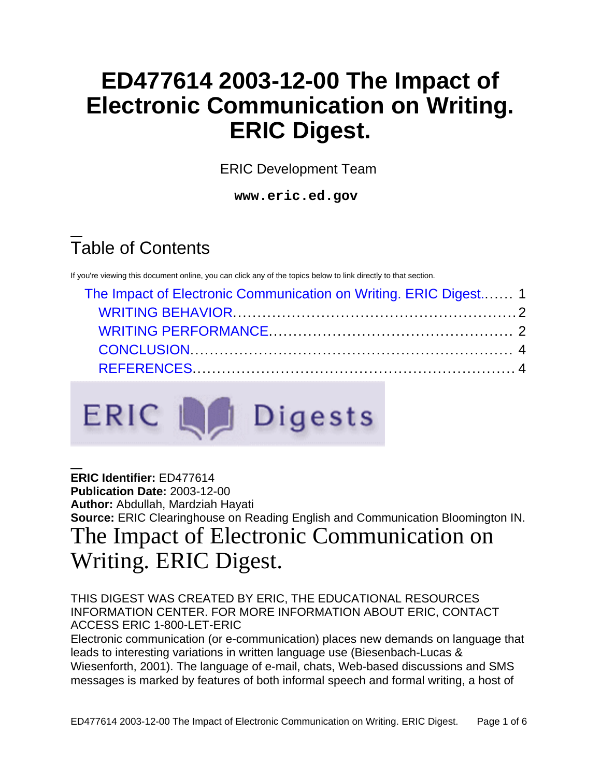# **ED477614 2003-12-00 The Impact of Electronic Communication on Writing. ERIC Digest.**

ERIC Development Team

**www.eric.ed.gov**

# Table of Contents

If you're viewing this document online, you can click any of the topics below to link directly to that section.

| The Impact of Electronic Communication on Writing. ERIC Digest 1 |  |
|------------------------------------------------------------------|--|
|                                                                  |  |
|                                                                  |  |
|                                                                  |  |
|                                                                  |  |



**ERIC Identifier:** ED477614 **Publication Date:** 2003-12-00 **Author:** Abdullah, Mardziah Hayati **Source:** ERIC Clearinghouse on Reading English and Communication Bloomington IN.

## <span id="page-0-0"></span>The Impact of Electronic Communication on Writing. ERIC Digest.

THIS DIGEST WAS CREATED BY ERIC, THE EDUCATIONAL RESOURCES INFORMATION CENTER. FOR MORE INFORMATION ABOUT ERIC, CONTACT ACCESS ERIC 1-800-LET-ERIC

Electronic communication (or e-communication) places new demands on language that leads to interesting variations in written language use (Biesenbach-Lucas & Wiesenforth, 2001). The language of e-mail, chats, Web-based discussions and SMS messages is marked by features of both informal speech and formal writing, a host of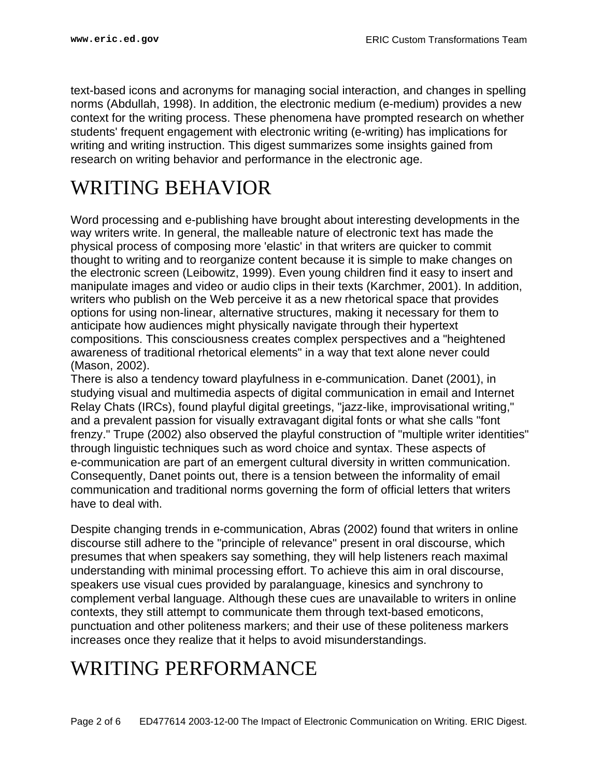text-based icons and acronyms for managing social interaction, and changes in spelling norms (Abdullah, 1998). In addition, the electronic medium (e-medium) provides a new context for the writing process. These phenomena have prompted research on whether students' frequent engagement with electronic writing (e-writing) has implications for writing and writing instruction. This digest summarizes some insights gained from research on writing behavior and performance in the electronic age.

### <span id="page-1-0"></span>WRITING BEHAVIOR

Word processing and e-publishing have brought about interesting developments in the way writers write. In general, the malleable nature of electronic text has made the physical process of composing more 'elastic' in that writers are quicker to commit thought to writing and to reorganize content because it is simple to make changes on the electronic screen (Leibowitz, 1999). Even young children find it easy to insert and manipulate images and video or audio clips in their texts (Karchmer, 2001). In addition, writers who publish on the Web perceive it as a new rhetorical space that provides options for using non-linear, alternative structures, making it necessary for them to anticipate how audiences might physically navigate through their hypertext compositions. This consciousness creates complex perspectives and a "heightened awareness of traditional rhetorical elements" in a way that text alone never could (Mason, 2002).

There is also a tendency toward playfulness in e-communication. Danet (2001), in studying visual and multimedia aspects of digital communication in email and Internet Relay Chats (IRCs), found playful digital greetings, "jazz-like, improvisational writing," and a prevalent passion for visually extravagant digital fonts or what she calls "font frenzy." Trupe (2002) also observed the playful construction of "multiple writer identities" through linguistic techniques such as word choice and syntax. These aspects of e-communication are part of an emergent cultural diversity in written communication. Consequently, Danet points out, there is a tension between the informality of email communication and traditional norms governing the form of official letters that writers have to deal with.

Despite changing trends in e-communication, Abras (2002) found that writers in online discourse still adhere to the "principle of relevance" present in oral discourse, which presumes that when speakers say something, they will help listeners reach maximal understanding with minimal processing effort. To achieve this aim in oral discourse, speakers use visual cues provided by paralanguage, kinesics and synchrony to complement verbal language. Although these cues are unavailable to writers in online contexts, they still attempt to communicate them through text-based emoticons, punctuation and other politeness markers; and their use of these politeness markers increases once they realize that it helps to avoid misunderstandings.

### <span id="page-1-1"></span>WRITING PERFORMANCE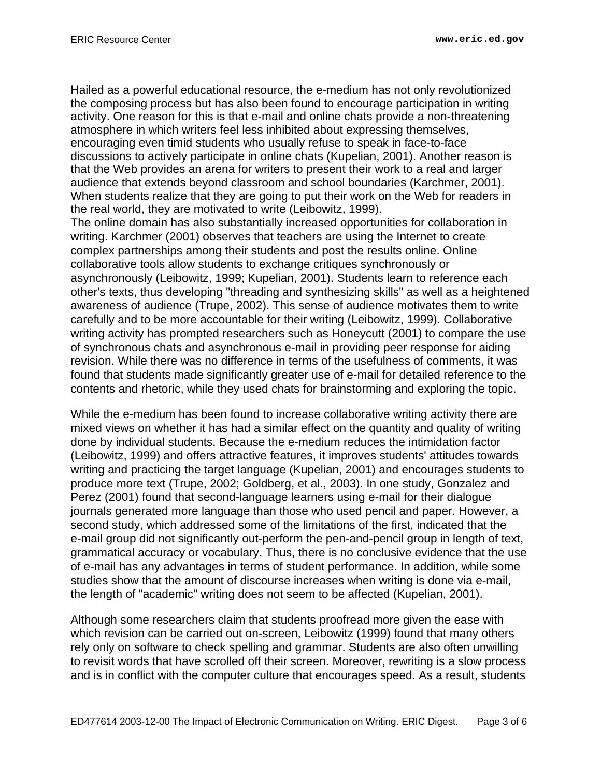Hailed as a powerful educational resource, the e-medium has not only revolutionized the composing process but has also been found to encourage participation in writing activity. One reason for this is that e-mail and online chats provide a non-threatening atmosphere in which writers feel less inhibited about expressing themselves, encouraging even timid students who usually refuse to speak in face-to-face discussions to actively participate in online chats (Kupelian, 2001). Another reason is that the Web provides an arena for writers to present their work to a real and larger audience that extends beyond classroom and school boundaries (Karchmer, 2001). When students realize that they are going to put their work on the Web for readers in the real world, they are motivated to write (Leibowitz, 1999).

The online domain has also substantially increased opportunities for collaboration in writing. Karchmer (2001) observes that teachers are using the Internet to create complex partnerships among their students and post the results online. Online collaborative tools allow students to exchange critiques synchronously or asynchronously (Leibowitz, 1999; Kupelian, 2001). Students learn to reference each other's texts, thus developing "threading and synthesizing skills" as well as a heightened awareness of audience (Trupe, 2002). This sense of audience motivates them to write carefully and to be more accountable for their writing (Leibowitz, 1999). Collaborative writing activity has prompted researchers such as Honeycutt (2001) to compare the use of synchronous chats and asynchronous e-mail in providing peer response for aiding revision. While there was no difference in terms of the usefulness of comments, it was found that students made significantly greater use of e-mail for detailed reference to the contents and rhetoric, while they used chats for brainstorming and exploring the topic.

While the e-medium has been found to increase collaborative writing activity there are mixed views on whether it has had a similar effect on the quantity and quality of writing done by individual students. Because the e-medium reduces the intimidation factor (Leibowitz, 1999) and offers attractive features, it improves students' attitudes towards writing and practicing the target language (Kupelian, 2001) and encourages students to produce more text (Trupe, 2002; Goldberg, et al., 2003). In one study, Gonzalez and Perez (2001) found that second-language learners using e-mail for their dialogue journals generated more language than those who used pencil and paper. However, a second study, which addressed some of the limitations of the first, indicated that the e-mail group did not significantly out-perform the pen-and-pencil group in length of text, grammatical accuracy or vocabulary. Thus, there is no conclusive evidence that the use of e-mail has any advantages in terms of student performance. In addition, while some studies show that the amount of discourse increases when writing is done via e-mail, the length of "academic" writing does not seem to be affected (Kupelian, 2001).

Although some researchers claim that students proofread more given the ease with which revision can be carried out on-screen, Leibowitz (1999) found that many others rely only on software to check spelling and grammar. Students are also often unwilling to revisit words that have scrolled off their screen. Moreover, rewriting is a slow process and is in conflict with the computer culture that encourages speed. As a result, students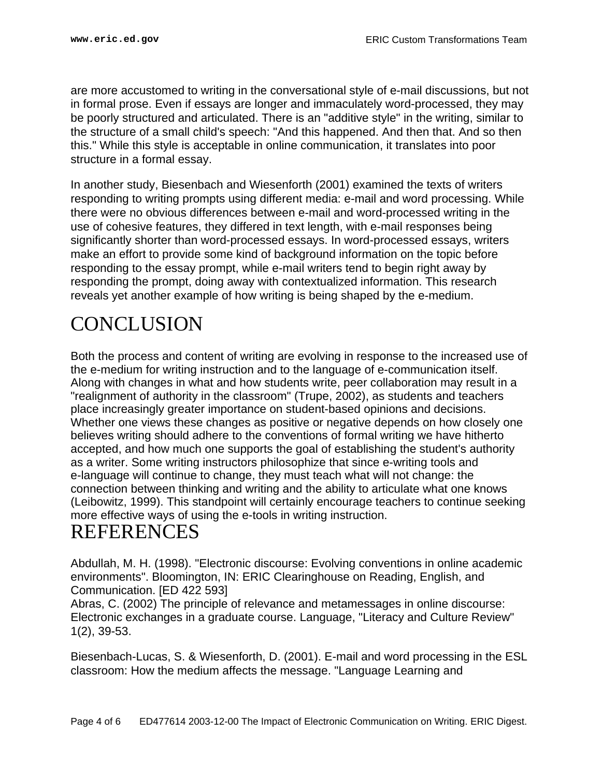are more accustomed to writing in the conversational style of e-mail discussions, but not in formal prose. Even if essays are longer and immaculately word-processed, they may be poorly structured and articulated. There is an "additive style" in the writing, similar to the structure of a small child's speech: "And this happened. And then that. And so then this." While this style is acceptable in online communication, it translates into poor structure in a formal essay.

In another study, Biesenbach and Wiesenforth (2001) examined the texts of writers responding to writing prompts using different media: e-mail and word processing. While there were no obvious differences between e-mail and word-processed writing in the use of cohesive features, they differed in text length, with e-mail responses being significantly shorter than word-processed essays. In word-processed essays, writers make an effort to provide some kind of background information on the topic before responding to the essay prompt, while e-mail writers tend to begin right away by responding the prompt, doing away with contextualized information. This research reveals yet another example of how writing is being shaped by the e-medium.

## <span id="page-3-0"></span>**CONCLUSION**

Both the process and content of writing are evolving in response to the increased use of the e-medium for writing instruction and to the language of e-communication itself. Along with changes in what and how students write, peer collaboration may result in a "realignment of authority in the classroom" (Trupe, 2002), as students and teachers place increasingly greater importance on student-based opinions and decisions. Whether one views these changes as positive or negative depends on how closely one believes writing should adhere to the conventions of formal writing we have hitherto accepted, and how much one supports the goal of establishing the student's authority as a writer. Some writing instructors philosophize that since e-writing tools and e-language will continue to change, they must teach what will not change: the connection between thinking and writing and the ability to articulate what one knows (Leibowitz, 1999). This standpoint will certainly encourage teachers to continue seeking more effective ways of using the e-tools in writing instruction.

#### <span id="page-3-1"></span>REFERENCES

Abdullah, M. H. (1998). "Electronic discourse: Evolving conventions in online academic environments". Bloomington, IN: ERIC Clearinghouse on Reading, English, and Communication. [ED 422 593]

Abras, C. (2002) The principle of relevance and metamessages in online discourse: Electronic exchanges in a graduate course. Language, "Literacy and Culture Review" 1(2), 39-53.

Biesenbach-Lucas, S. & Wiesenforth, D. (2001). E-mail and word processing in the ESL classroom: How the medium affects the message. "Language Learning and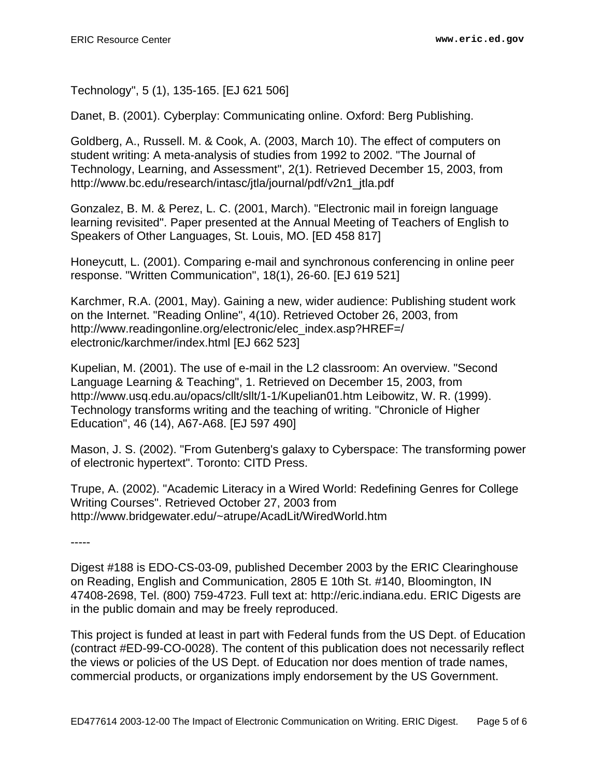Technology", 5 (1), 135-165. [EJ 621 506]

Danet, B. (2001). Cyberplay: Communicating online. Oxford: Berg Publishing.

Goldberg, A., Russell. M. & Cook, A. (2003, March 10). The effect of computers on student writing: A meta-analysis of studies from 1992 to 2002. "The Journal of Technology, Learning, and Assessment", 2(1). Retrieved December 15, 2003, from http://www.bc.edu/research/intasc/jtla/journal/pdf/v2n1\_jtla.pdf

Gonzalez, B. M. & Perez, L. C. (2001, March). "Electronic mail in foreign language learning revisited". Paper presented at the Annual Meeting of Teachers of English to Speakers of Other Languages, St. Louis, MO. [ED 458 817]

Honeycutt, L. (2001). Comparing e-mail and synchronous conferencing in online peer response. "Written Communication", 18(1), 26-60. [EJ 619 521]

Karchmer, R.A. (2001, May). Gaining a new, wider audience: Publishing student work on the Internet. "Reading Online", 4(10). Retrieved October 26, 2003, from http://www.readingonline.org/electronic/elec\_index.asp?HREF=/ electronic/karchmer/index.html [EJ 662 523]

Kupelian, M. (2001). The use of e-mail in the L2 classroom: An overview. "Second Language Learning & Teaching", 1. Retrieved on December 15, 2003, from http://www.usq.edu.au/opacs/cllt/sllt/1-1/Kupelian01.htm Leibowitz, W. R. (1999). Technology transforms writing and the teaching of writing. "Chronicle of Higher Education", 46 (14), A67-A68. [EJ 597 490]

Mason, J. S. (2002). "From Gutenberg's galaxy to Cyberspace: The transforming power of electronic hypertext". Toronto: CITD Press.

Trupe, A. (2002). "Academic Literacy in a Wired World: Redefining Genres for College Writing Courses". Retrieved October 27, 2003 from http://www.bridgewater.edu/~atrupe/AcadLit/WiredWorld.htm

-----

Digest #188 is EDO-CS-03-09, published December 2003 by the ERIC Clearinghouse on Reading, English and Communication, 2805 E 10th St. #140, Bloomington, IN 47408-2698, Tel. (800) 759-4723. Full text at: http://eric.indiana.edu. ERIC Digests are in the public domain and may be freely reproduced.

This project is funded at least in part with Federal funds from the US Dept. of Education (contract #ED-99-CO-0028). The content of this publication does not necessarily reflect the views or policies of the US Dept. of Education nor does mention of trade names, commercial products, or organizations imply endorsement by the US Government.